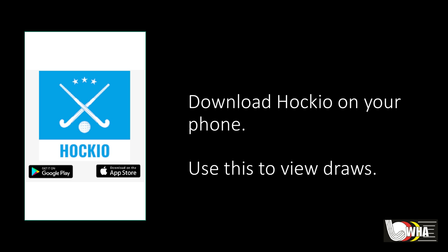

# Download Hockio on your phone.

Use this to view draws.

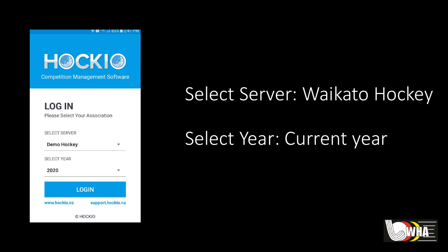



#### **LOG IN** Please Select Your Association

| <b>SELECT SERVER</b> |                   |
|----------------------|-------------------|
| <b>Demo Hockey</b>   |                   |
| <b>SELECT YEAR</b>   |                   |
| 2020                 |                   |
|                      | <b>LOGIN</b>      |
| www.hockio.nz        | support.hockio.nz |
|                      | © HOCKIO          |

## Select Server: Waikato Hockey

## Select Year: Current year

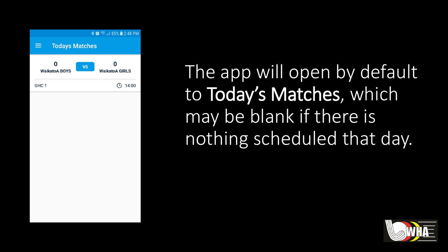

The app will open by default to Today's Matches, which may be blank if there is nothing scheduled that day.

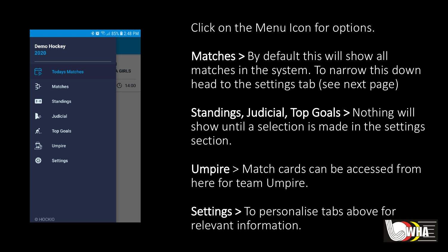

Click on the Menu Icon for options.

Matches > By default this will show all matches in the system. To narrow this down head to the settings tab (see next page)

Standings, Judicial, Top Goals > Nothing will show until a selection is made in the settings section.

Umpire > Match cards can be accessed from here for team Umpire.

Settings > To personalise tabs above for relevant information.

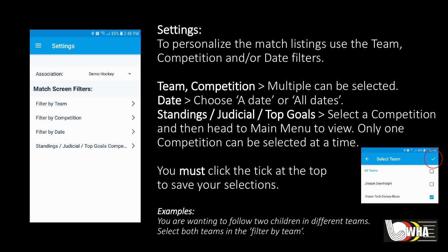|                                        | <b>* ● ● → 85% ■ 2:48 PM</b> |               |  |
|----------------------------------------|------------------------------|---------------|--|
| <b>Settings</b>                        |                              |               |  |
|                                        |                              |               |  |
| Association:                           | Demo Hockey                  |               |  |
| <b>Match Screen Filters:</b>           |                              |               |  |
| <b>Filter by Team</b>                  |                              | ゝ             |  |
| <b>Filter by Competition</b>           |                              | ゝ             |  |
| <b>Filter by Date</b>                  |                              | $\mathcal{E}$ |  |
| Standings / Judicial / Top Goals Compe |                              | >             |  |

### Settings:

To personalize the match listings use the Team, Competition and/or Date filters.

**Team, Competition** > Multiple can be selected. Date > Choose 'A date' or 'All dates'. Standings / Judicial / Top Goals > Select a Competition and then head to Main Menu to view. Only one Competition can be selected at a time.

You **must** click the tick at the top to save your selections.

#### *Examples:*

*You are wanting to follow two children in different teams. Select both teams in the 'filter by team'.*